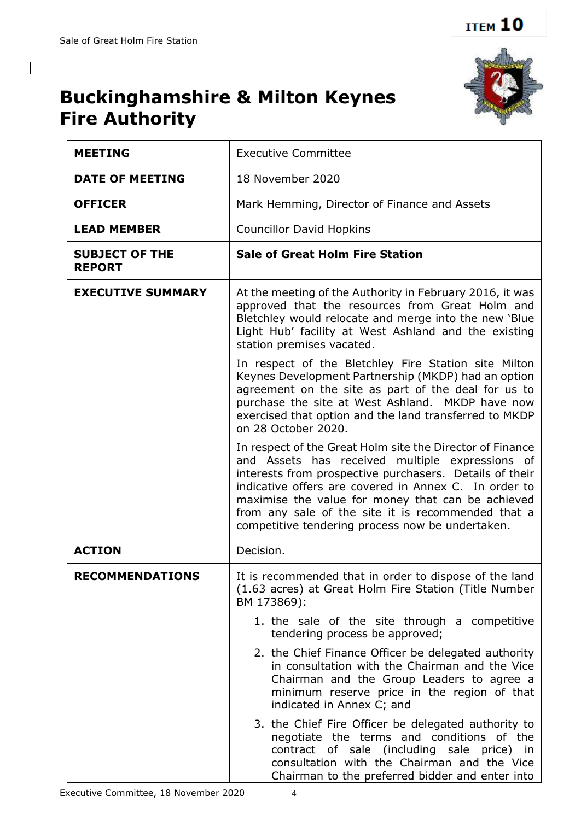$\overline{\phantom{a}}$ 



## **Buckinghamshire & Milton Keynes Fire Authority**

| <b>MEETING</b>                         | <b>Executive Committee</b>                                                                                                                                                                                                                                                                                                                                                                      |
|----------------------------------------|-------------------------------------------------------------------------------------------------------------------------------------------------------------------------------------------------------------------------------------------------------------------------------------------------------------------------------------------------------------------------------------------------|
| <b>DATE OF MEETING</b>                 | 18 November 2020                                                                                                                                                                                                                                                                                                                                                                                |
| <b>OFFICER</b>                         | Mark Hemming, Director of Finance and Assets                                                                                                                                                                                                                                                                                                                                                    |
| <b>LEAD MEMBER</b>                     | <b>Councillor David Hopkins</b>                                                                                                                                                                                                                                                                                                                                                                 |
| <b>SUBJECT OF THE</b><br><b>REPORT</b> | <b>Sale of Great Holm Fire Station</b>                                                                                                                                                                                                                                                                                                                                                          |
| <b>EXECUTIVE SUMMARY</b>               | At the meeting of the Authority in February 2016, it was<br>approved that the resources from Great Holm and<br>Bletchley would relocate and merge into the new 'Blue<br>Light Hub' facility at West Ashland and the existing<br>station premises vacated.                                                                                                                                       |
|                                        | In respect of the Bletchley Fire Station site Milton<br>Keynes Development Partnership (MKDP) had an option<br>agreement on the site as part of the deal for us to<br>purchase the site at West Ashland. MKDP have now<br>exercised that option and the land transferred to MKDP<br>on 28 October 2020.                                                                                         |
|                                        | In respect of the Great Holm site the Director of Finance<br>and Assets has received multiple expressions of<br>interests from prospective purchasers. Details of their<br>indicative offers are covered in Annex C. In order to<br>maximise the value for money that can be achieved<br>from any sale of the site it is recommended that a<br>competitive tendering process now be undertaken. |
| <b>ACTION</b>                          | Decision.                                                                                                                                                                                                                                                                                                                                                                                       |
| RECOMMENDATIONS                        | It is recommended that in order to dispose of the land<br>(1.63 acres) at Great Holm Fire Station (Title Number<br>BM 173869):                                                                                                                                                                                                                                                                  |
|                                        | 1. the sale of the site through a competitive<br>tendering process be approved;                                                                                                                                                                                                                                                                                                                 |
|                                        | 2. the Chief Finance Officer be delegated authority<br>in consultation with the Chairman and the Vice<br>Chairman and the Group Leaders to agree a<br>minimum reserve price in the region of that<br>indicated in Annex C; and                                                                                                                                                                  |
|                                        | 3. the Chief Fire Officer be delegated authority to<br>negotiate the terms and conditions of the<br>contract of sale (including sale price) in<br>consultation with the Chairman and the Vice<br>Chairman to the preferred bidder and enter into                                                                                                                                                |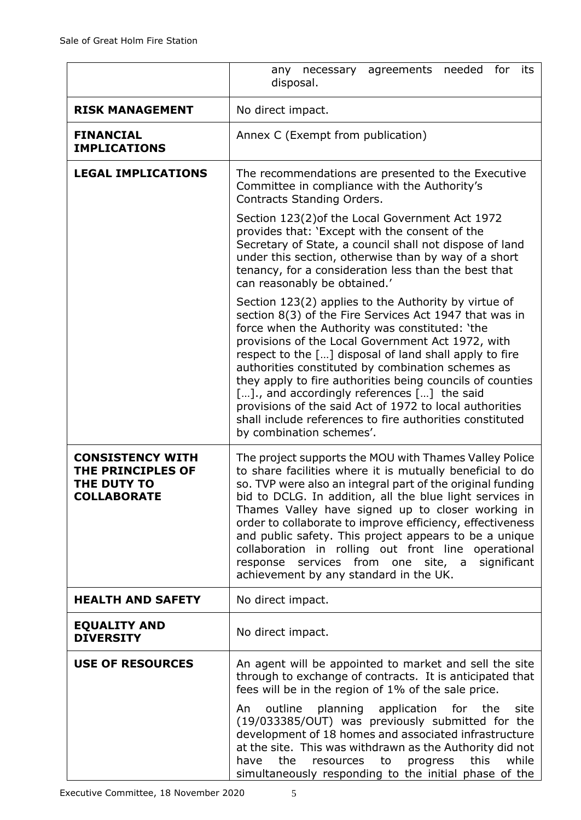|                                                                                   | needed<br>for<br>agreements<br>its<br>any necessary<br>disposal.                                                                                                                                                                                                                                                                                                                                                                                                                                                                                                                                    |
|-----------------------------------------------------------------------------------|-----------------------------------------------------------------------------------------------------------------------------------------------------------------------------------------------------------------------------------------------------------------------------------------------------------------------------------------------------------------------------------------------------------------------------------------------------------------------------------------------------------------------------------------------------------------------------------------------------|
| <b>RISK MANAGEMENT</b>                                                            | No direct impact.                                                                                                                                                                                                                                                                                                                                                                                                                                                                                                                                                                                   |
| <b>FINANCIAL</b><br><b>IMPLICATIONS</b>                                           | Annex C (Exempt from publication)                                                                                                                                                                                                                                                                                                                                                                                                                                                                                                                                                                   |
| <b>LEGAL IMPLICATIONS</b>                                                         | The recommendations are presented to the Executive<br>Committee in compliance with the Authority's<br>Contracts Standing Orders.                                                                                                                                                                                                                                                                                                                                                                                                                                                                    |
|                                                                                   | Section 123(2) of the Local Government Act 1972<br>provides that: 'Except with the consent of the<br>Secretary of State, a council shall not dispose of land<br>under this section, otherwise than by way of a short<br>tenancy, for a consideration less than the best that<br>can reasonably be obtained.'                                                                                                                                                                                                                                                                                        |
|                                                                                   | Section 123(2) applies to the Authority by virtue of<br>section 8(3) of the Fire Services Act 1947 that was in<br>force when the Authority was constituted: 'the<br>provisions of the Local Government Act 1972, with<br>respect to the [] disposal of land shall apply to fire<br>authorities constituted by combination schemes as<br>they apply to fire authorities being councils of counties<br>[]., and accordingly references [] the said<br>provisions of the said Act of 1972 to local authorities<br>shall include references to fire authorities constituted<br>by combination schemes'. |
| <b>CONSISTENCY WITH</b><br>THE PRINCIPLES OF<br>THE DUTY TO<br><b>COLLABORATE</b> | The project supports the MOU with Thames Valley Police<br>to share facilities where it is mutually beneficial to do<br>so. TVP were also an integral part of the original funding<br>bid to DCLG. In addition, all the blue light services in<br>Thames Valley have signed up to closer working in<br>order to collaborate to improve efficiency, effectiveness<br>and public safety. This project appears to be a unique<br>collaboration in rolling out front line operational<br>response services from one site, a<br>significant<br>achievement by any standard in the UK.                     |
| <b>HEALTH AND SAFETY</b>                                                          | No direct impact.                                                                                                                                                                                                                                                                                                                                                                                                                                                                                                                                                                                   |
| <b>EQUALITY AND</b><br><b>DIVERSITY</b>                                           | No direct impact.                                                                                                                                                                                                                                                                                                                                                                                                                                                                                                                                                                                   |
| <b>USE OF RESOURCES</b>                                                           | An agent will be appointed to market and sell the site<br>through to exchange of contracts. It is anticipated that<br>fees will be in the region of 1% of the sale price.                                                                                                                                                                                                                                                                                                                                                                                                                           |
|                                                                                   | outline planning application for the<br>site<br>An<br>(19/033385/OUT) was previously submitted for the<br>development of 18 homes and associated infrastructure<br>at the site. This was withdrawn as the Authority did not<br>the<br>this<br>while<br>have<br>resources<br>progress<br>to<br>simultaneously responding to the initial phase of the                                                                                                                                                                                                                                                 |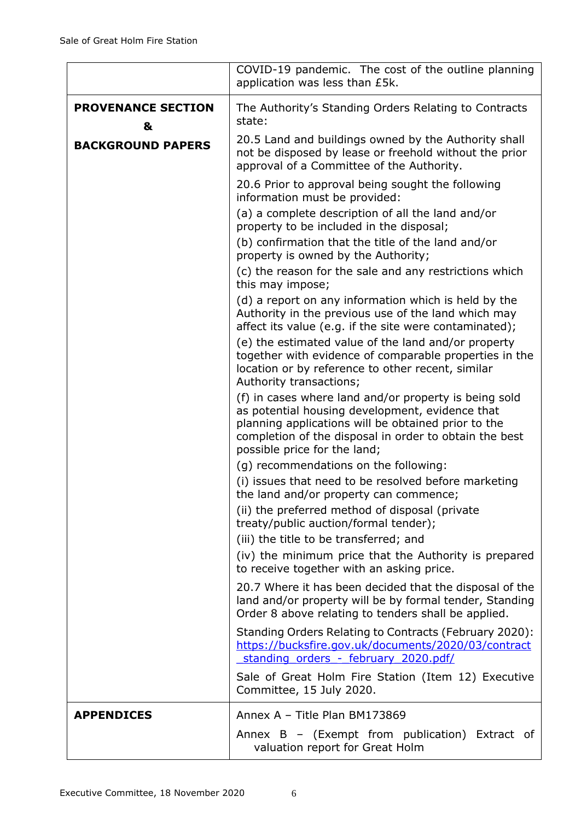|                                | COVID-19 pandemic. The cost of the outline planning<br>application was less than £5k.                                                                                                                                                                     |
|--------------------------------|-----------------------------------------------------------------------------------------------------------------------------------------------------------------------------------------------------------------------------------------------------------|
| <b>PROVENANCE SECTION</b><br>& | The Authority's Standing Orders Relating to Contracts<br>state:                                                                                                                                                                                           |
| <b>BACKGROUND PAPERS</b>       | 20.5 Land and buildings owned by the Authority shall<br>not be disposed by lease or freehold without the prior<br>approval of a Committee of the Authority.                                                                                               |
|                                | 20.6 Prior to approval being sought the following<br>information must be provided:                                                                                                                                                                        |
|                                | (a) a complete description of all the land and/or<br>property to be included in the disposal;                                                                                                                                                             |
|                                | (b) confirmation that the title of the land and/or<br>property is owned by the Authority;                                                                                                                                                                 |
|                                | (c) the reason for the sale and any restrictions which<br>this may impose;                                                                                                                                                                                |
|                                | (d) a report on any information which is held by the<br>Authority in the previous use of the land which may<br>affect its value (e.g. if the site were contaminated);                                                                                     |
|                                | (e) the estimated value of the land and/or property<br>together with evidence of comparable properties in the<br>location or by reference to other recent, similar<br>Authority transactions;                                                             |
|                                | (f) in cases where land and/or property is being sold<br>as potential housing development, evidence that<br>planning applications will be obtained prior to the<br>completion of the disposal in order to obtain the best<br>possible price for the land; |
|                                | (g) recommendations on the following:<br>(i) issues that need to be resolved before marketing<br>the land and/or property can commence;<br>(ii) the preferred method of disposal (private<br>treaty/public auction/formal tender);                        |
|                                | (iii) the title to be transferred; and<br>(iv) the minimum price that the Authority is prepared<br>to receive together with an asking price.                                                                                                              |
|                                | 20.7 Where it has been decided that the disposal of the<br>land and/or property will be by formal tender, Standing<br>Order 8 above relating to tenders shall be applied.                                                                                 |
|                                | Standing Orders Relating to Contracts (February 2020):<br>https://bucksfire.gov.uk/documents/2020/03/contract<br>standing orders - february 2020.pdf/                                                                                                     |
|                                | Sale of Great Holm Fire Station (Item 12) Executive<br>Committee, 15 July 2020.                                                                                                                                                                           |
| <b>APPENDICES</b>              | Annex A - Title Plan BM173869                                                                                                                                                                                                                             |
|                                | Annex $B -$ (Exempt from publication) Extract of<br>valuation report for Great Holm                                                                                                                                                                       |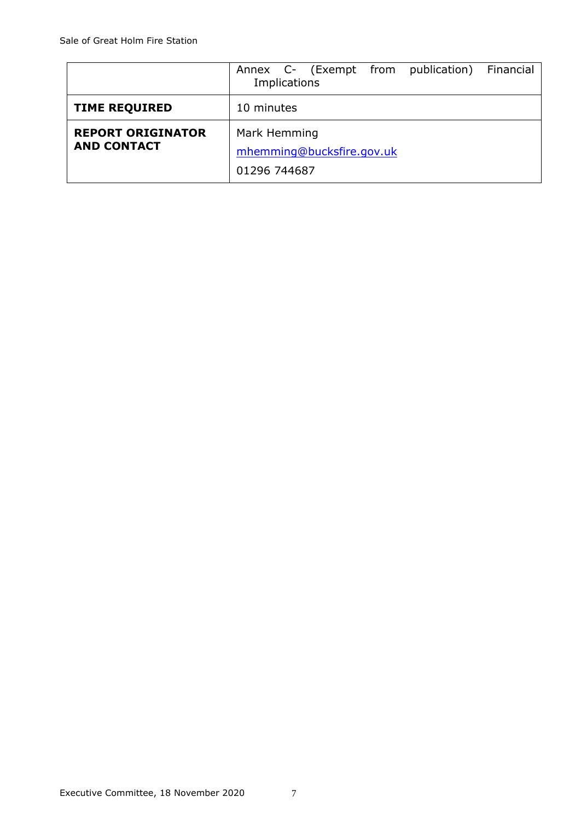|                                                | Annex C- (Exempt from publication) Financial<br>Implications |
|------------------------------------------------|--------------------------------------------------------------|
| <b>TIME REQUIRED</b>                           | 10 minutes                                                   |
| <b>REPORT ORIGINATOR</b><br><b>AND CONTACT</b> | Mark Hemming<br>mhemming@bucksfire.gov.uk<br>01296 744687    |